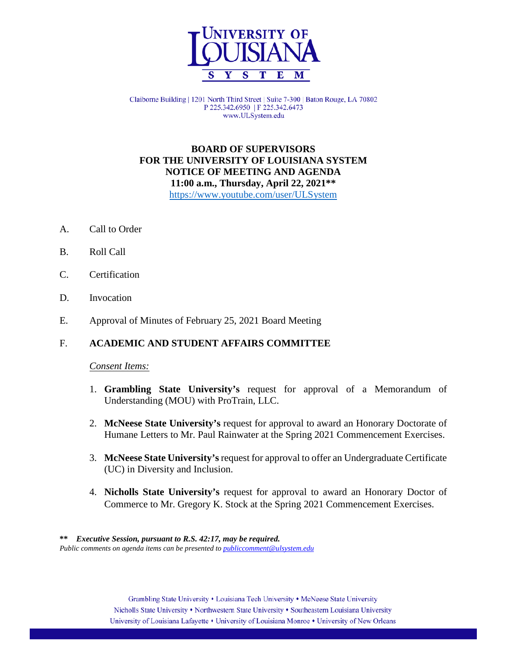

Claiborne Building | 1201 North Third Street | Suite 7-300 | Baton Rouge, LA 70802 P 225.342.6950 | F 225.342.6473 www.ULSystem.edu

## **BOARD OF SUPERVISORS FOR THE UNIVERSITY OF LOUISIANA SYSTEM NOTICE OF MEETING AND AGENDA 11:00 a.m., Thursday, April 22, 2021\*\*** <https://www.youtube.com/user/ULSystem>

- A. Call to Order
- B. Roll Call
- C. Certification
- D. Invocation
- E. Approval of Minutes of February 25, 2021 Board Meeting

## F. **ACADEMIC AND STUDENT AFFAIRS COMMITTEE**

#### *Consent Items:*

- 1. **Grambling State University's** request for approval of a Memorandum of Understanding (MOU) with ProTrain, LLC.
- 2. **McNeese State University's** request for approval to award an Honorary Doctorate of Humane Letters to Mr. Paul Rainwater at the Spring 2021 Commencement Exercises.
- 3. **McNeese State University's** request for approval to offer an Undergraduate Certificate (UC) in Diversity and Inclusion.
- 4. **Nicholls State University's** request for approval to award an Honorary Doctor of Commerce to Mr. Gregory K. Stock at the Spring 2021 Commencement Exercises.

 **\*\*** *Executive Session, pursuant to R.S. 42:17, may be required. Public comments on agenda items can be presented t[o publiccomment@ulsystem.edu](mailto:publiccomment@ulsystem.edu)*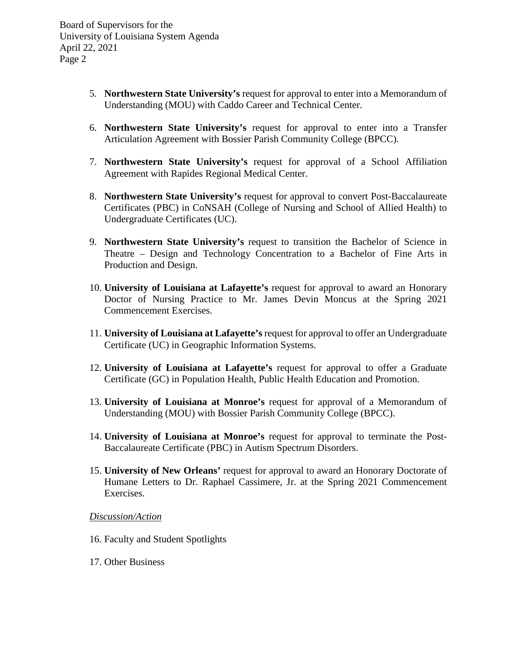Board of Supervisors for the University of Louisiana System Agenda April 22, 2021 Page 2

- 5. **Northwestern State University's** request for approval to enter into a Memorandum of Understanding (MOU) with Caddo Career and Technical Center.
- 6. **Northwestern State University's** request for approval to enter into a Transfer Articulation Agreement with Bossier Parish Community College (BPCC).
- 7. **Northwestern State University's** request for approval of a School Affiliation Agreement with Rapides Regional Medical Center.
- 8. **Northwestern State University's** request for approval to convert Post-Baccalaureate Certificates (PBC) in CoNSAH (College of Nursing and School of Allied Health) to Undergraduate Certificates (UC).
- 9. **Northwestern State University's** request to transition the Bachelor of Science in Theatre – Design and Technology Concentration to a Bachelor of Fine Arts in Production and Design.
- 10. **University of Louisiana at Lafayette's** request for approval to award an Honorary Doctor of Nursing Practice to Mr. James Devin Moncus at the Spring 2021 Commencement Exercises.
- 11. **University of Louisiana at Lafayette's** request for approval to offer an Undergraduate Certificate (UC) in Geographic Information Systems.
- 12. **University of Louisiana at Lafayette's** request for approval to offer a Graduate Certificate (GC) in Population Health, Public Health Education and Promotion.
- 13. **University of Louisiana at Monroe's** request for approval of a Memorandum of Understanding (MOU) with Bossier Parish Community College (BPCC).
- 14. **University of Louisiana at Monroe's** request for approval to terminate the Post-Baccalaureate Certificate (PBC) in Autism Spectrum Disorders.
- 15. **University of New Orleans'** request for approval to award an Honorary Doctorate of Humane Letters to Dr. Raphael Cassimere, Jr. at the Spring 2021 Commencement Exercises.

## *Discussion/Action*

- 16. Faculty and Student Spotlights
- 17. Other Business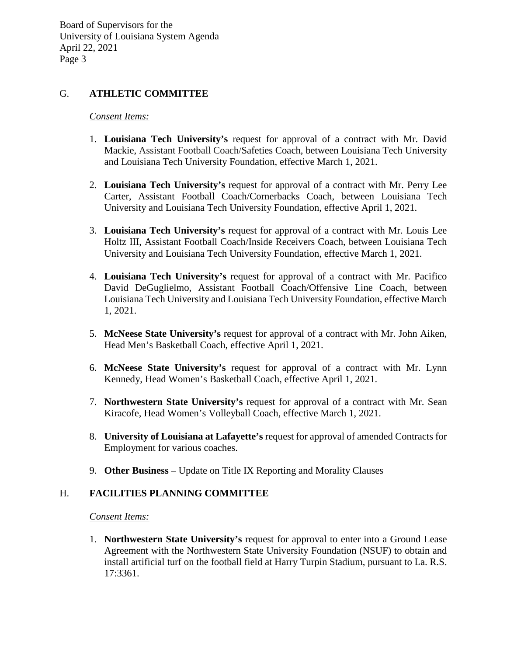Board of Supervisors for the University of Louisiana System Agenda April 22, 2021 Page 3

# G. **ATHLETIC COMMITTEE**

### *Consent Items:*

- 1. **Louisiana Tech University's** request for approval of a contract with Mr. David Mackie, Assistant Football Coach/Safeties Coach, between Louisiana Tech University and Louisiana Tech University Foundation, effective March 1, 2021.
- 2. **Louisiana Tech University's** request for approval of a contract with Mr. Perry Lee Carter, Assistant Football Coach/Cornerbacks Coach, between Louisiana Tech University and Louisiana Tech University Foundation, effective April 1, 2021.
- 3. **Louisiana Tech University's** request for approval of a contract with Mr. Louis Lee Holtz III, Assistant Football Coach/Inside Receivers Coach, between Louisiana Tech University and Louisiana Tech University Foundation, effective March 1, 2021.
- 4. **Louisiana Tech University's** request for approval of a contract with Mr. Pacifico David DeGuglielmo, Assistant Football Coach/Offensive Line Coach, between Louisiana Tech University and Louisiana Tech University Foundation, effective March 1, 2021.
- 5. **McNeese State University's** request for approval of a contract with Mr. John Aiken, Head Men's Basketball Coach, effective April 1, 2021.
- 6. **McNeese State University's** request for approval of a contract with Mr. Lynn Kennedy, Head Women's Basketball Coach, effective April 1, 2021.
- 7. **Northwestern State University's** request for approval of a contract with Mr. Sean Kiracofe, Head Women's Volleyball Coach, effective March 1, 2021.
- 8. **University of Louisiana at Lafayette's** request for approval of amended Contracts for Employment for various coaches.
- 9. **Other Business** Update on Title IX Reporting and Morality Clauses

## H. **FACILITIES PLANNING COMMITTEE**

*Consent Items:*

1. **Northwestern State University's** request for approval to enter into a Ground Lease Agreement with the Northwestern State University Foundation (NSUF) to obtain and install artificial turf on the football field at Harry Turpin Stadium, pursuant to La. R.S. 17:3361.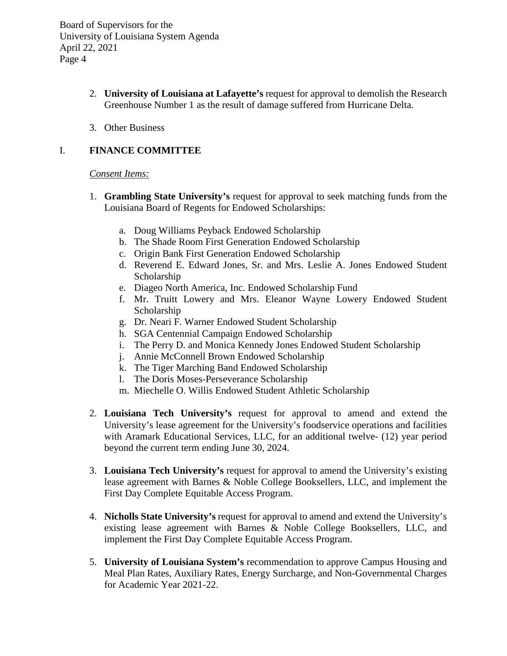Board of Supervisors for the University of Louisiana System Agenda April 22, 2021 Page 4

- 2. **University of Louisiana at Lafayette's** request for approval to demolish the Research Greenhouse Number 1 as the result of damage suffered from Hurricane Delta.
- 3. Other Business

# I. **FINANCE COMMITTEE**

### *Consent Items:*

- 1. **Grambling State University's** request for approval to seek matching funds from the Louisiana Board of Regents for Endowed Scholarships:
	- a. Doug Williams Peyback Endowed Scholarship
	- b. The Shade Room First Generation Endowed Scholarship
	- c. Origin Bank First Generation Endowed Scholarship
	- d. Reverend E. Edward Jones, Sr. and Mrs. Leslie A. Jones Endowed Student Scholarship
	- e. Diageo North America, Inc. Endowed Scholarship Fund
	- f. Mr. Truitt Lowery and Mrs. Eleanor Wayne Lowery Endowed Student Scholarship
	- g. Dr. Neari F. Warner Endowed Student Scholarship
	- h. SGA Centennial Campaign Endowed Scholarship
	- i. The Perry D. and Monica Kennedy Jones Endowed Student Scholarship
	- j. Annie McConnell Brown Endowed Scholarship
	- k. The Tiger Marching Band Endowed Scholarship
	- l. The Doris Moses-Perseverance Scholarship
	- m. Miechelle O. Willis Endowed Student Athletic Scholarship
- 2. **Louisiana Tech University's** request for approval to amend and extend the University's lease agreement for the University's foodservice operations and facilities with Aramark Educational Services, LLC, for an additional twelve- (12) year period beyond the current term ending June 30, 2024.
- 3. **Louisiana Tech University's** request for approval to amend the University's existing lease agreement with Barnes & Noble College Booksellers, LLC, and implement the First Day Complete Equitable Access Program.
- 4. **Nicholls State University's** request for approval to amend and extend the University's existing lease agreement with Barnes & Noble College Booksellers, LLC, and implement the First Day Complete Equitable Access Program.
- 5. **University of Louisiana System's** recommendation to approve Campus Housing and Meal Plan Rates, Auxiliary Rates, Energy Surcharge, and Non-Governmental Charges for Academic Year 2021-22.